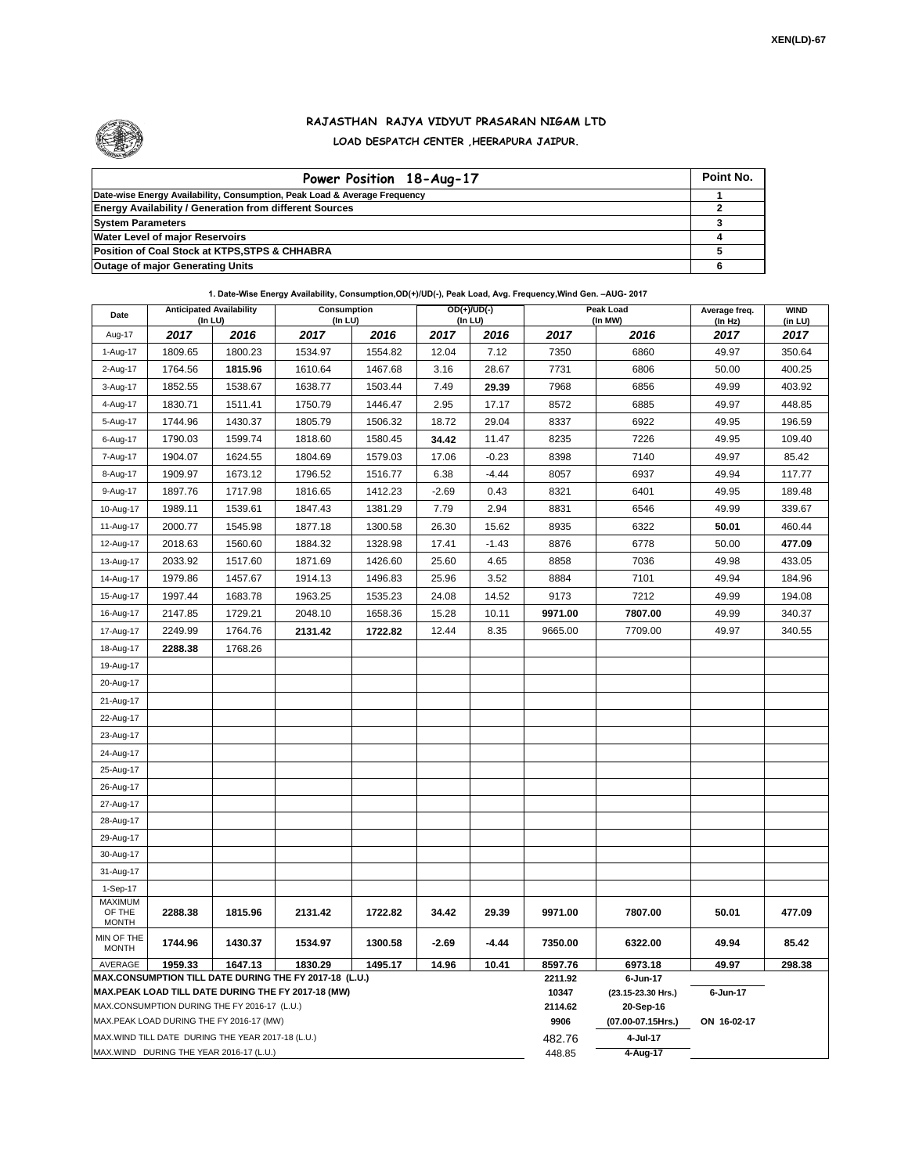

## **RAJASTHAN RAJYA VIDYUT PRASARAN NIGAM LTD LOAD DESPATCH CENTER ,HEERAPURA JAIPUR.**

| Power Position 18-Aug-17                                                  | Point No. |
|---------------------------------------------------------------------------|-----------|
| Date-wise Energy Availability, Consumption, Peak Load & Average Frequency |           |
| <b>Energy Availability / Generation from different Sources</b>            |           |
| <b>System Parameters</b>                                                  |           |
| <b>Water Level of major Reservoirs</b>                                    |           |
| Position of Coal Stock at KTPS, STPS & CHHABRA                            |           |
| <b>Outage of major Generating Units</b>                                   |           |

## **1. Date-Wise Energy Availability, Consumption,OD(+)/UD(-), Peak Load, Avg. Frequency,Wind Gen. –AUG- 2017**

| Date                                                                                                         | <b>Anticipated Availability</b><br>$($ In LU $)$           |         | <b>Consumption</b><br>$($ In LU $)$ |         | $OD(+)/UD(-)$<br>(In LU) |         |                  | Peak Load<br>(In MW)           | Average freq.<br>(In Hz) | <b>WIND</b><br>(in LU) |
|--------------------------------------------------------------------------------------------------------------|------------------------------------------------------------|---------|-------------------------------------|---------|--------------------------|---------|------------------|--------------------------------|--------------------------|------------------------|
| Aug-17                                                                                                       | 2017                                                       | 2016    | 2017                                | 2016    | 2017                     | 2016    | 2017             | 2016                           | 2017                     | 2017                   |
| 1-Aug-17                                                                                                     | 1809.65                                                    | 1800.23 | 1534.97                             | 1554.82 | 12.04                    | 7.12    | 7350             | 6860                           | 49.97                    | 350.64                 |
| 2-Aug-17                                                                                                     | 1764.56                                                    | 1815.96 | 1610.64                             | 1467.68 | 3.16                     | 28.67   | 7731             | 6806                           | 50.00                    | 400.25                 |
| 3-Aug-17                                                                                                     | 1852.55                                                    | 1538.67 | 1638.77                             | 1503.44 | 7.49                     | 29.39   | 7968             | 6856                           | 49.99                    | 403.92                 |
| 4-Aug-17                                                                                                     | 1830.71                                                    | 1511.41 | 1750.79                             | 1446.47 | 2.95                     | 17.17   | 8572             | 6885                           | 49.97                    | 448.85                 |
| 5-Aug-17                                                                                                     | 1744.96                                                    | 1430.37 | 1805.79                             | 1506.32 | 18.72                    | 29.04   | 8337             | 6922                           | 49.95                    | 196.59                 |
| 6-Aug-17                                                                                                     | 1790.03                                                    | 1599.74 | 1818.60                             | 1580.45 | 34.42                    | 11.47   | 8235             | 7226                           | 49.95                    | 109.40                 |
| 7-Aug-17                                                                                                     | 1904.07                                                    | 1624.55 | 1804.69                             | 1579.03 | 17.06                    | $-0.23$ | 8398             | 7140                           | 49.97                    | 85.42                  |
| 8-Aug-17                                                                                                     | 1909.97                                                    | 1673.12 | 1796.52                             | 1516.77 | 6.38                     | $-4.44$ | 8057             | 6937                           | 49.94                    | 117.77                 |
| 9-Aug-17                                                                                                     | 1897.76                                                    | 1717.98 | 1816.65                             | 1412.23 | $-2.69$                  | 0.43    | 8321             | 6401                           | 49.95                    | 189.48                 |
| 10-Aug-17                                                                                                    | 1989.11                                                    | 1539.61 | 1847.43                             | 1381.29 | 7.79                     | 2.94    | 8831             | 6546                           | 49.99                    | 339.67                 |
| 11-Aug-17                                                                                                    | 2000.77                                                    | 1545.98 | 1877.18                             | 1300.58 | 26.30                    | 15.62   | 8935             | 6322                           | 50.01                    | 460.44                 |
| 12-Aug-17                                                                                                    | 2018.63                                                    | 1560.60 | 1884.32                             | 1328.98 | 17.41                    | $-1.43$ | 8876             | 6778                           | 50.00                    | 477.09                 |
| 13-Aug-17                                                                                                    | 2033.92                                                    | 1517.60 | 1871.69                             | 1426.60 | 25.60                    | 4.65    | 8858             | 7036                           | 49.98                    | 433.05                 |
| 14-Aug-17                                                                                                    | 1979.86                                                    | 1457.67 | 1914.13                             | 1496.83 | 25.96                    | 3.52    | 8884             | 7101                           | 49.94                    | 184.96                 |
| 15-Aug-17                                                                                                    | 1997.44                                                    | 1683.78 | 1963.25                             | 1535.23 | 24.08                    | 14.52   | 9173             | 7212                           | 49.99                    | 194.08                 |
| 16-Aug-17                                                                                                    | 2147.85                                                    | 1729.21 | 2048.10                             | 1658.36 | 15.28                    | 10.11   | 9971.00          | 7807.00                        | 49.99                    | 340.37                 |
| 17-Aug-17                                                                                                    | 2249.99                                                    | 1764.76 | 2131.42                             | 1722.82 | 12.44                    | 8.35    | 9665.00          | 7709.00                        | 49.97                    | 340.55                 |
| 18-Aug-17                                                                                                    | 2288.38                                                    | 1768.26 |                                     |         |                          |         |                  |                                |                          |                        |
| 19-Aug-17                                                                                                    |                                                            |         |                                     |         |                          |         |                  |                                |                          |                        |
| 20-Aug-17                                                                                                    |                                                            |         |                                     |         |                          |         |                  |                                |                          |                        |
| 21-Aug-17                                                                                                    |                                                            |         |                                     |         |                          |         |                  |                                |                          |                        |
| 22-Aug-17                                                                                                    |                                                            |         |                                     |         |                          |         |                  |                                |                          |                        |
| 23-Aug-17                                                                                                    |                                                            |         |                                     |         |                          |         |                  |                                |                          |                        |
| 24-Aug-17                                                                                                    |                                                            |         |                                     |         |                          |         |                  |                                |                          |                        |
| 25-Aug-17                                                                                                    |                                                            |         |                                     |         |                          |         |                  |                                |                          |                        |
| 26-Aug-17                                                                                                    |                                                            |         |                                     |         |                          |         |                  |                                |                          |                        |
| 27-Aug-17                                                                                                    |                                                            |         |                                     |         |                          |         |                  |                                |                          |                        |
| 28-Aug-17                                                                                                    |                                                            |         |                                     |         |                          |         |                  |                                |                          |                        |
| 29-Aug-17                                                                                                    |                                                            |         |                                     |         |                          |         |                  |                                |                          |                        |
| 30-Aug-17                                                                                                    |                                                            |         |                                     |         |                          |         |                  |                                |                          |                        |
| 31-Aug-17                                                                                                    |                                                            |         |                                     |         |                          |         |                  |                                |                          |                        |
| 1-Sep-17<br><b>MAXIMUM</b>                                                                                   |                                                            |         |                                     |         |                          |         |                  |                                |                          |                        |
| OF THE                                                                                                       | 2288.38                                                    | 1815.96 | 2131.42                             | 1722.82 | 34.42                    | 29.39   | 9971.00          | 7807.00                        | 50.01                    | 477.09                 |
| <b>MONTH</b>                                                                                                 |                                                            |         |                                     |         |                          |         |                  |                                |                          |                        |
| MIN OF THE<br><b>MONTH</b>                                                                                   | 1744.96                                                    | 1430.37 | 1534.97                             | 1300.58 | $-2.69$                  | -4.44   | 7350.00          | 6322.00                        | 49.94                    | 85.42                  |
| AVERAGE                                                                                                      | 1647.13<br>1959.33<br>1830.29<br>1495.17<br>14.96<br>10.41 |         |                                     |         |                          |         | 8597.76          | 6973.18                        | 49.97                    | 298.38                 |
| MAX.CONSUMPTION TILL DATE DURING THE FY 2017-18 (L.U.)<br>MAX.PEAK LOAD TILL DATE DURING THE FY 2017-18 (MW) |                                                            |         |                                     |         |                          |         | 2211.92<br>10347 | 6-Jun-17<br>(23.15-23.30 Hrs.) | 6-Jun-17                 |                        |
| MAX.CONSUMPTION DURING THE FY 2016-17 (L.U.)                                                                 |                                                            |         |                                     |         |                          |         | 2114.62          | 20-Sep-16                      |                          |                        |
| MAX.PEAK LOAD DURING THE FY 2016-17 (MW)                                                                     |                                                            |         |                                     |         |                          |         | 9906             | (07.00-07.15Hrs.)              | ON 16-02-17              |                        |
| MAX.WIND TILL DATE DURING THE YEAR 2017-18 (L.U.)                                                            |                                                            |         |                                     |         |                          |         | 482.76           | 4-Jul-17                       |                          |                        |
| MAX.WIND DURING THE YEAR 2016-17 (L.U.)                                                                      |                                                            |         |                                     |         |                          |         |                  | 4-Aug-17                       |                          |                        |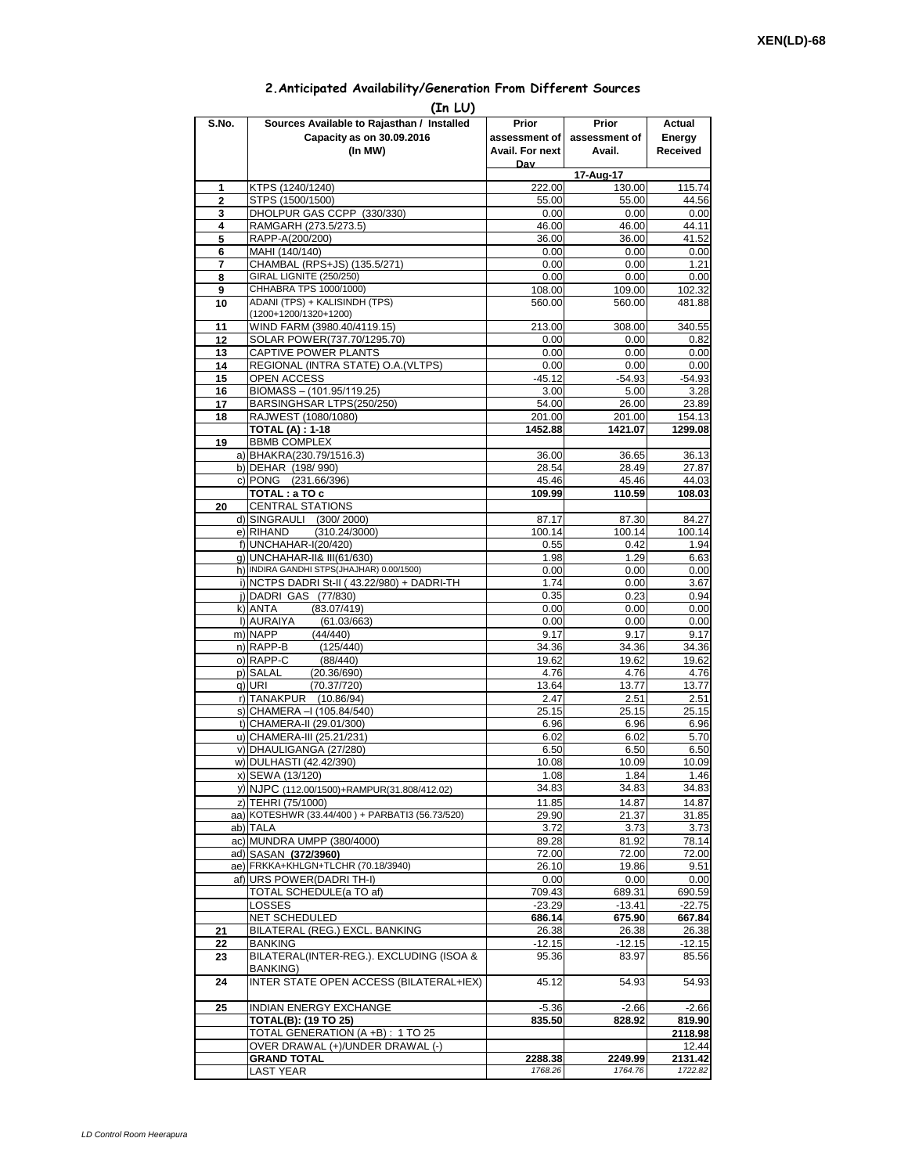## **2.Anticipated Availability/Generation From Different Sources**

| (In LU)        |                                                                       |                    |                     |                    |  |  |  |  |  |
|----------------|-----------------------------------------------------------------------|--------------------|---------------------|--------------------|--|--|--|--|--|
| S.No.          | Sources Available to Rajasthan / Installed                            | Prior              | Prior               | Actual             |  |  |  |  |  |
|                | Capacity as on 30.09.2016                                             | assessment of      | assessment of       | Energy             |  |  |  |  |  |
|                | (In MW)                                                               | Avail. For next    | Avail.              | Received           |  |  |  |  |  |
|                |                                                                       | Dav                |                     |                    |  |  |  |  |  |
| 1              | KTPS (1240/1240)                                                      | 222.00             | 17-Aug-17<br>130.00 | 115.74             |  |  |  |  |  |
| $\overline{2}$ | STPS (1500/1500)                                                      | 55.00              | 55.00               | 44.56              |  |  |  |  |  |
| 3              | DHOLPUR GAS CCPP (330/330)                                            | 0.00               | 0.00                | 0.00               |  |  |  |  |  |
| 4              | RAMGARH (273.5/273.5)                                                 | 46.00              | 46.00               | 44.11              |  |  |  |  |  |
| 5              | RAPP-A(200/200)                                                       | 36.00              | 36.00               | 41.52              |  |  |  |  |  |
| 6              | MAHI (140/140)                                                        | 0.00               | 0.00                | 0.00               |  |  |  |  |  |
| 7<br>8         | CHAMBAL (RPS+JS) (135.5/271)<br>GIRAL LIGNITE (250/250)               | 0.00<br>0.00       | 0.00<br>0.00        | 1.21<br>0.00       |  |  |  |  |  |
| 9              | CHHABRA TPS 1000/1000)                                                | 108.00             | 109.00              | 102.32             |  |  |  |  |  |
| 10             | ADANI (TPS) + KALISINDH (TPS)                                         | 560.00             | 560.00              | 481.88             |  |  |  |  |  |
|                | (1200+1200/1320+1200)                                                 |                    |                     |                    |  |  |  |  |  |
| 11             | WIND FARM (3980.40/4119.15)                                           | 213.00             | 308.00              | 340.55             |  |  |  |  |  |
| 12             | SOLAR POWER(737.70/1295.70)<br>CAPTIVE POWER PLANTS                   | 0.00<br>0.00       | 0.00<br>0.00        | 0.82<br>0.00       |  |  |  |  |  |
| 13<br>14       | REGIONAL (INTRA STATE) O.A. (VLTPS)                                   | 0.00               | 0.00                | 0.00               |  |  |  |  |  |
| 15             | <b>OPEN ACCESS</b>                                                    | $-45.12$           | $-54.93$            | $-54.93$           |  |  |  |  |  |
| 16             | BIOMASS - (101.95/119.25)                                             | 3.00               | 5.00                | 3.28               |  |  |  |  |  |
| 17             | BARSINGHSAR LTPS(250/250)                                             | 54.00              | 26.00               | 23.89              |  |  |  |  |  |
| 18             | RAJWEST (1080/1080)                                                   | 201.00             | 201.00              | 154.13             |  |  |  |  |  |
| 19             | <b>TOTAL (A): 1-18</b><br><b>BBMB COMPLEX</b>                         | 1452.88            | 1421.07             | 1299.08            |  |  |  |  |  |
|                | a) BHAKRA(230.79/1516.3)                                              | 36.00              | 36.65               | 36.13              |  |  |  |  |  |
|                | b) DEHAR (198/990)                                                    | 28.54              | 28.49               | 27.87              |  |  |  |  |  |
|                | c) PONG (231.66/396)                                                  | 45.46              | 45.46               | 44.03              |  |  |  |  |  |
|                | TOTAL: a TO c                                                         | 109.99             | 110.59              | 108.03             |  |  |  |  |  |
| 20             | <b>CENTRAL STATIONS</b>                                               |                    |                     |                    |  |  |  |  |  |
|                | d) SINGRAULI (300/2000)                                               | 87.17              | 87.30               | 84.27              |  |  |  |  |  |
|                | e) RIHAND<br>(310.24/3000)<br>f) UNCHAHAR-I(20/420)                   | 100.14<br>0.55     | 100.14<br>0.42      | 100.14<br>1.94     |  |  |  |  |  |
|                | g) UNCHAHAR-II& III(61/630)                                           | 1.98               | 1.29                | 6.63               |  |  |  |  |  |
|                | h) INDIRA GANDHI STPS(JHAJHAR) 0.00/1500)                             | 0.00               | 0.00                | 0.00               |  |  |  |  |  |
|                | i) NCTPS DADRI St-II (43.22/980) + DADRI-TH                           | 1.74               | 0.00                | 3.67               |  |  |  |  |  |
|                | j) DADRI GAS (77/830)                                                 | 0.35               | 0.23                | 0.94               |  |  |  |  |  |
|                | k) ANTA<br>(83.07/419)                                                | 0.00               | 0.00                | 0.00               |  |  |  |  |  |
|                | I) AURAIYA<br>(61.03/663)<br>m) NAPP<br>(44/440)                      | 0.00<br>9.17       | 0.00<br>9.17        | 0.00<br>9.17       |  |  |  |  |  |
|                | n) RAPP-B<br>(125/440)                                                | 34.36              | 34.36               | 34.36              |  |  |  |  |  |
|                | o) RAPP-C<br>(88/440)                                                 | 19.62              | 19.62               | 19.62              |  |  |  |  |  |
|                | p) SALAL<br>(20.36/690)                                               | 4.76               | 4.76                | 4.76               |  |  |  |  |  |
|                | q) URI<br>(70.37/720)                                                 | 13.64              | 13.77               | 13.77              |  |  |  |  |  |
|                | r) TANAKPUR<br>(10.86/94)<br>s) CHAMERA - (105.84/540)                | 2.47               | 2.51                | 2.51               |  |  |  |  |  |
|                | t) CHAMERA-II (29.01/300)                                             | 25.15<br>6.96      | 25.15<br>6.96       | 25.15<br>6.96      |  |  |  |  |  |
|                | u) CHAMERA-III (25.21/231)                                            | 6.02               | 6.02                | 5.70               |  |  |  |  |  |
|                | v) DHAULIGANGA (27/280)                                               | 6.50               | 6.50                | 6.50               |  |  |  |  |  |
|                | w) DULHASTI (42.42/390)                                               | 10.08              | 10.09               | 10.09              |  |  |  |  |  |
|                | x) SEWA (13/120)                                                      | 1.08               | 1.84                | 1.46               |  |  |  |  |  |
|                | y) NJPC (112.00/1500)+RAMPUR(31.808/412.02)                           | 34.83              | 34.83               | 34.83              |  |  |  |  |  |
|                | z) TEHRI (75/1000)<br>aa) KOTESHWR (33.44/400) + PARBATI3 (56.73/520) | 11.85              | 14.87               | 14.87              |  |  |  |  |  |
|                | ab) TALA                                                              | 29.90<br>3.72      | 21.37<br>3.73       | 31.85<br>3.73      |  |  |  |  |  |
|                | ac) MUNDRA UMPP (380/4000)                                            | 89.28              | 81.92               | 78.14              |  |  |  |  |  |
|                | ad) SASAN (372/3960)                                                  | 72.00              | 72.00               | 72.00              |  |  |  |  |  |
|                | ae) FRKKA+KHLGN+TLCHR (70.18/3940)                                    | 26.10              | 19.86               | 9.51               |  |  |  |  |  |
|                | af) URS POWER(DADRITH-I)                                              | 0.00               | 0.00                | 0.00               |  |  |  |  |  |
|                | <b>TOTAL SCHEDULE(a TO af)</b>                                        | 709.43             | 689.31              | 690.59             |  |  |  |  |  |
|                | LOSSES<br><b>NET SCHEDULED</b>                                        | $-23.29$<br>686.14 | $-13.41$<br>675.90  | $-22.75$<br>667.84 |  |  |  |  |  |
| 21             | BILATERAL (REG.) EXCL. BANKING                                        | 26.38              | 26.38               | 26.38              |  |  |  |  |  |
| 22             | BANKING                                                               | -12.15             | -12.15              | $-12.15$           |  |  |  |  |  |
| 23             | BILATERAL(INTER-REG.). EXCLUDING (ISOA &                              | 95.36              | 83.97               | 85.56              |  |  |  |  |  |
|                | BANKING)                                                              |                    |                     |                    |  |  |  |  |  |
| 24             | INTER STATE OPEN ACCESS (BILATERAL+IEX)                               | 45.12              | 54.93               | 54.93              |  |  |  |  |  |
| 25             | INDIAN ENERGY EXCHANGE                                                | $-5.36$            | $-2.66$             | $-2.66$            |  |  |  |  |  |
|                | <b>TOTAL(B): (19 TO 25)</b>                                           | 835.50             | 828.92              | 819.90             |  |  |  |  |  |
|                | TOTAL GENERATION (A +B) : 1 TO 25                                     |                    |                     | 2118.98            |  |  |  |  |  |
|                | OVER DRAWAL (+)/UNDER DRAWAL (-)                                      |                    |                     | 12.44              |  |  |  |  |  |
|                | <b>GRAND TOTAL</b>                                                    | 2288.38            | 2249.99             | 2131.42            |  |  |  |  |  |
|                | <b>LAST YEAR</b>                                                      | 1768.26            | 1764.76             | 1722.82            |  |  |  |  |  |